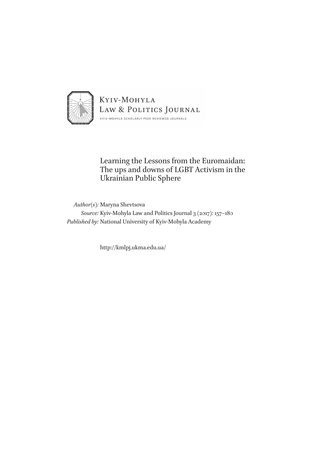

# Learning the Lessons from the Euromaidan: The ups and downs of LGBT Activism in the Ukrainian Public Sphere

*Author(s):* Maryna Shevtsova *Source:* Kyiv-Mohyla Law and Politics Journal 3 (2017): 157–180 *Published by:* National University of Kyiv-Mohyla Academy

http://kmlpj.ukma.edu.ua/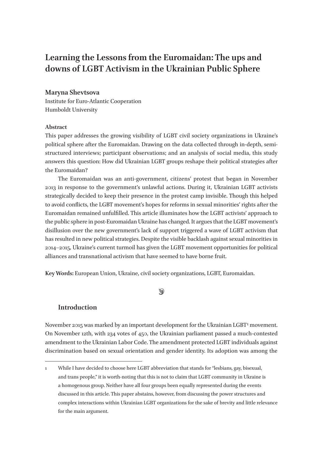# **Learning the Lessons from the Euromaidan: The ups and downs of LGBT Activism in the Ukrainian Public Sphere**

### **Maryna Shevtsova**

Institute for Euro-Atlantic Cooperation Humboldt University

#### **Abstract**

This paper addresses the growing visibility of LGBT civil society organizations in Ukraine's political sphere after the Euromaidan. Drawing on the data collected through in-depth, semistructured interviews; participant observations; and an analysis of social media, this study answers this question: How did Ukrainian LGBT groups reshape their political strategies after the Euromaidan?

The Euromaidan was an anti-government, citizens' protest that began in November 2013 in response to the government's unlawful actions. During it, Ukrainian LGBT activists strategically decided to keep their presence in the protest camp invisible. Though this helped to avoid conflicts, the LGBT movement's hopes for reforms in sexual minorities' rights after the Euromaidan remained unfulfilled. This article illuminates how the LGBT activists' approach to the public sphere in post-Euromaidan Ukraine has changed. It argues that the LGBT movement's disillusion over the new government's lack of support triggered a wave of LGBT activism that has resulted in new political strategies. Despite the visible backlash against sexual minorities in 2014–2015, Ukraine's current turmoil has given the LGBT movement opportunities for political alliances and transnational activism that have seemed to have borne fruit.

**Key Words:** European Union, Ukraine, civil society organizations, LGBT, Euromaidan.

# $\mathcal{D}$

# **Introduction**

November 2015 was marked by an important development for the Ukrainian LGBT<sup>1</sup> movement. On November 12th, with 234 votes of 450, the Ukrainian parliament passed a much-contested amendment to the Ukrainian Labor Code. The amendment protected LGBT individuals against discrimination based on sexual orientation and gender identity. Its adoption was among the

<sup>1</sup> While I have decided to choose here LGBT abbreviation that stands for "lesbians, gay, bisexual, and trans people," it is worth-noting that this is not to claim that LGBT community in Ukraine is a homogenous group. Neither have all four groups been equally represented during the events discussed in this article. This paper abstains, however, from discussing the power structures and complex interactions within Ukrainian LGBT organizations for the sake of brevity and little relevance for the main argument.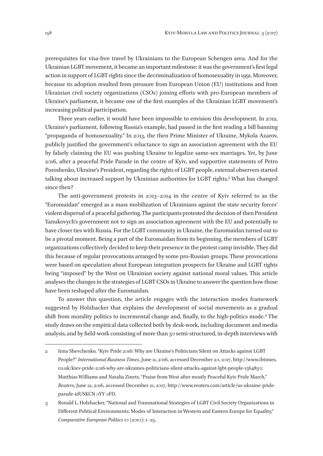prerequisites for visa-free travel by Ukrainians to the European Schengen area. And for the Ukrainian LGBT movement, it became an important milestone: it was the government's first legal action in support of LGBT rights since the decriminalization of homosexuality in 1991. Moreover, because its adoption resulted from pressure from European Union (EU) institutions and from Ukrainian civil society organizations (CSOs) joining efforts with pro-European members of Ukraine's parliament, it became one of the first examples of the Ukrainian LGBT movement's increasing political participation.

Three years earlier, it would have been impossible to envision this development. In 2012, Ukraine's parliament, following Russia's example, had passed in the first reading a bill banning "propaganda of homosexuality." In 2013, the then Prime Minister of Ukraine, Mykola Azarov, publicly justified the government's reluctance to sign an association agreement with the EU by falsely claiming the EU was pushing Ukraine to legalize same-sex marriages. Yet, by June 2016, after a peaceful Pride Parade in the centre of Kyiv, and supportive statements of Petro Poroshenko, Ukraine's President, regarding the rights of LGBT people, external observers started talking about increased support by Ukrainian authorities for LGBT rights.2 What has changed since then?

The anti-government protests in 2013–2014 in the centre of Kyiv referred to as the "Euromaidan" emerged as a mass mobilization of Ukrainians against the state security forces' violent dispersal of a peaceful gathering. The participants protested the decision of then President Yanukovych's government not to sign an association agreement with the EU and potentially to have closer ties with Russia. For the LGBT community in Ukraine, the Euromaidan turned out to be a pivotal moment. Being a part of the Euromaidan from its beginning, the members of LGBT organizations collectively decided to keep their presence in the protest camp invisible. They did this because of regular provocations arranged by some pro-Russian groups. These provocations were based on speculation about European integration prospects for Ukraine and LGBT rights being "imposed" by the West on Ukrainian society against national moral values. This article analyses the changes in the strategies of LGBT CSOs in Ukraine to answer the question how those have been reshaped after the Euromaidan.

To answer this question, the article engages with the interaction modes framework suggested by Holzhacker that explains the development of social movements as a gradual shift from morality politics to incremental change and, finally, to the high-politics mode.3 The study draws on the empirical data collected both by desk-work, including document and media analysis, and by field-work consisting of more than 30 semi-structured, in-depth interviews with

<sup>2</sup> Inna Shevchenko, "Kyiv Pride 2016: Why are Ukraine's Politicians Silent on Attacks against LGBT People?" *International Business Times*, June 11, 2016, accessed December 20, 2017, http://www.ibtimes. co.uk/kiev-pride‑2016-why-are-ukraines-politicians-silent-attacks-against-lgbt-people‑1564830; Matthias Williams and Natalia Zinets, "Praise from West after mostly Peaceful Kyiv Pride March," *Reuters*, June 12, 2016, accessed December 21, 2017, http://www.reuters.com/article/us-ukraine-prideparade-idUSKCN 0YY 0FD.

<sup>3</sup> Ronald L. Holzhacker, "National and Transnational Strategies of LGBT Civil Society Organizations in Different Political Environments: Modes of Interaction in Western and Eastern Europe for Equality," *Comparative European Politics* 10 (2010): 1–25.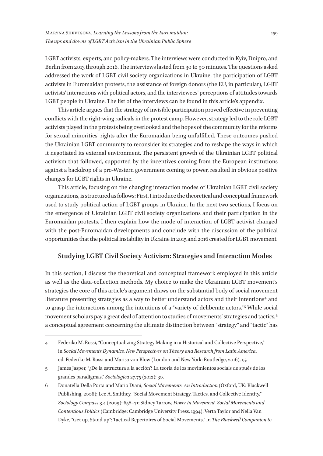LGBT activists, experts, and policy-makers. The interviews were conducted in Kyiv, Dnipro, and Berlin from 2013 through 2016. The interviews lasted from 30 to 90 minutes. The questions asked addressed the work of LGBT civil society organizations in Ukraine, the participation of LGBT activists in Euromaidan protests, the assistance of foreign donors (the EU, in particular), LGBT activists' interactions with political actors, and the interviewees' perceptions of attitudes towards LGBT people in Ukraine. The list of the interviews can be found in this article's appendix.

This article argues that the strategy of invisible participation proved effective in preventing conflicts with the right-wing radicals in the protest camp. However, strategy led to the role LGBT activists played in the protests being overlooked and the hopes of the community for the reforms for sexual minorities' rights after the Euromaidan being unfulfilled. These outcomes pushed the Ukrainian LGBT community to reconsider its strategies and to reshape the ways in which it negotiated its external environment. The persistent growth of the Ukrainian LGBT political activism that followed, supported by the incentives coming from the European institutions against a backdrop of a pro-Western government coming to power, resulted in obvious positive changes for LGBT rights in Ukraine.

This article, focusing on the changing interaction modes of Ukrainian LGBT civil society organizations, is structured as follows: First, I introduce the theoretical and conceptual framework used to study political action of LGBT groups in Ukraine. In the next two sections, I focus on the emergence of Ukrainian LGBT civil society organizations and their participation in the Euromaidan protests. I then explain how the mode of interaction of LGBT activist changed with the post-Euromaidan developments and conclude with the discussion of the political opportunities that the political instability in Ukraine in 2015 and 2016 created for LGBT movement.

# **Studying LGBT Civil Society Activism: Strategies and Interaction Modes**

In this section, I discuss the theoretical and conceptual framework employed in this article as well as the data-collection methods. My choice to make the Ukrainian LGBT movement's strategies the core of this article's argument draws on the substantial body of social movement literature presenting strategies as a way to better understand actors and their intentions<sup>4</sup> and to grasp the interactions among the intentions of a "variety of deliberate actors."<sup>5</sup> While social movement scholars pay a great deal of attention to studies of movements' strategies and tactics,<sup>6</sup> a conceptual agreement concerning the ultimate distinction between "strategy" and "tactic" has

<sup>4</sup> Federiko M. Rossi, "Conceptualizing Strategy Making in a Historical and Collective Perspective," in *Social Movements Dynamics. New Perspectives on Theory and Research from Latin America*, ed. Federiko M. Rossi and Marisa von Blow (London and New York: Routledge, 2016), 15.

<sup>5</sup> James Jasper, "¿De la estructura a la acción? La teoría de los movimientos socials de spués de los grandes paradigmas," *Sociologica* 27.75 (2012): 30.

<sup>6</sup> Donatella Della Porta and Mario Diani, *Social Movements. An Introduction* (Oxford, UK: Blackwell Publishing, 2006); Lee A. Smithey, "Social Movement Strategy, Tactics, and Collective Identity," *Sociology Compass* 3.4 (2009): 658–71; Sidney Tarrow, *Power in Movement. Social Movements and Contentious Politics* (Cambridge: Cambridge University Press, 1994); Verta Taylor and Nella Van Dyke, "Get up, Stand up": Tactical Repertoires of Social Movements," in *The Blackwell Companion to*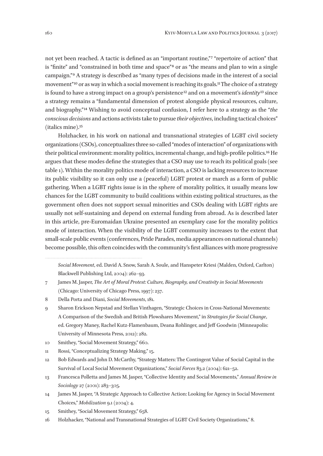not yet been reached. A tactic is defined as an "important routine,"<sup>7</sup> "repertoire of action" that is "finite" and "constrained in both time and space"<sup>8</sup> or as "the means and plan to win a single campaign." 9 A strategy is described as "many types of decisions made in the interest of a social movement"<sup>10</sup> or as way in which a social movement is reaching its goals.<sup>11</sup> The choice of a strategy is found to have a strong impact on a group's persistence<sup>12</sup> and on a movement's *identity*<sup>13</sup> since a strategy remains a "fundamental dimension of protest alongside physical resources, culture, and biography." 14 Wishing to avoid conceptual confusion, I refer here to a strategy as the "*the conscious decisions* and actions activists take to pursue *their objectives*, including tactical choices" (italics mine).15

Holzhacker, in his work on national and transnational strategies of LGBT civil society organizations (CSOs), conceptualizes three so-called "modes of interaction" of organizations with their political environment: morality politics, incremental change, and high-profile politics.16 He argues that these modes define the strategies that a CSO may use to reach its political goals (see table 1). Within the morality politics mode of interaction, a CSO is lacking resources to increase its public visibility so it can only use a (peaceful) LGBT protest or march as a form of public gathering. When a LGBT rights issue is in the sphere of morality politics, it usually means low chances for the LGBT community to build coalitions within existing political structures, as the government often does not support sexual minorities and CSOs dealing with LGBT rights are usually not self-sustaining and depend on external funding from abroad. As is described later in this article, pre-Euromaidan Ukraine presented an exemplary case for the morality politics mode of interaction. When the visibility of the LGBT community increases to the extent that small-scale public events (conferences, Pride Parades, media appearances on national channels) become possible, this often coincides with the community's first alliances with more progressive

*Social Movement*, ed. David A. Snow, Sarah A. Soule, and Hanspeter Kriesi (Malden, Oxford, Carlton) Blackwell Publishing Ltd, 2004): 262–93.

<sup>7</sup> James M. Jasper, *The Art of Moral Protest: Culture, Biography, and Creativity in Social Movements* (Chicago: University of Chicago Press, 1997): 237.

<sup>8</sup> Della Porta and Diani, *Social Movements*, 181.

<sup>9</sup> Sharon Erickson Nepstad and Stellan Vinthagen, "Strategic Choices in Cross-National Movements: A Comparison of the Swedish and British Plowshares Movement," in *Strategies for Social Change*, ed. Gregory Maney, Rachel Kutz-Flamenbaum, Deana Rohlinger, and Jeff Goodwin (Minneapolis: University of Minnesota Press, 2012): 282.

<sup>10</sup> Smithey, "Social Movement Strategy," 660.

<sup>11</sup> Rossi, "Conceptualizing Strategy Making," 15.

<sup>12</sup> Bob Edwards and John D. McCarthy, "Strategy Matters: The Contingent Value of Social Capital in the Survival of Local Social Movement Organizations," *Social Forces* 83.2 (2004): 621–52.

<sup>13</sup> Francesca Polletta and James M. Jasper, "Collective Identity and Social Movements," *Annual Review in Sociology* 27 (2001): 283–305.

<sup>14</sup> James M. Jasper, "A Strategic Approach to Collective Action: Looking for Agency in Social Movement Choices," *Mobilization* 9.1 (2004): 4.

<sup>15</sup> Smithey, "Social Movement Strategy," 658.

<sup>16</sup> Holzhacker, "National and Transnational Strategies of LGBT Civil Society Organizations," 8.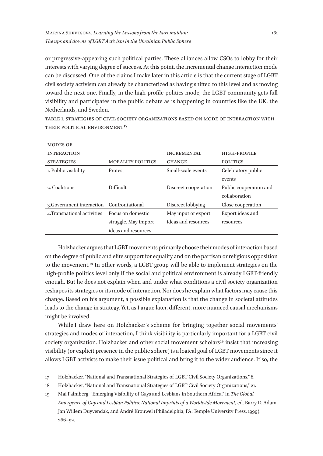or progressive-appearing such political parties. These alliances allow CSOs to lobby for their interests with varying degree of success. At this point, the incremental change interaction mode can be discussed. One of the claims I make later in this article is that the current stage of LGBT civil society activism can already be characterized as having shifted to this level and as moving toward the next one. Finally, in the high-profile politics mode, the LGBT community gets full visibility and participates in the public debate as is happening in countries like the UK, the Netherlands, and Sweden.

Table 1. Strategies of civil society organizations based on mode of interaction with THEIR POLITICAL ENVIRONMENT<sup>17</sup>

| <b>MODES OF</b>             |                          |                      |                        |
|-----------------------------|--------------------------|----------------------|------------------------|
| <b>INTERACTION</b>          |                          | <b>INCREMENTAL</b>   | <b>HIGH-PROFILE</b>    |
| <b>STRATEGIES</b>           | <b>MORALITY POLITICS</b> | <b>CHANGE</b>        | <b>POLITICS</b>        |
| 1. Public visibility        | Protest                  | Small-scale events   | Celebratory public     |
|                             |                          |                      | events                 |
| 2. Coalitions               | <b>Difficult</b>         | Discreet cooperation | Public cooperation and |
|                             |                          |                      | collaboration          |
| 3. Government interaction   | Confrontational          | Discreet lobbying    | Close cooperation      |
| 4. Transnational activities | Focus on domestic        | May input or export  | Export ideas and       |
|                             | struggle. May import     | ideas and resources  | resources              |
|                             | ideas and resources      |                      |                        |

Holzhacker argues that LGBT movements primarily choose their modes of interaction based on the degree of public and elite support for equality and on the partisan or religious opposition to the movement.18 In other words, a LGBT group will be able to implement strategies on the high-profile politics level only if the social and political environment is already LGBT-friendly enough. But he does not explain when and under what conditions a civil society organization reshapes its strategies or its mode of interaction. Nor does he explain what factors may cause this change. Based on his argument, a possible explanation is that the change in societal attitudes leads to the change in strategy. Yet, as I argue later, different, more nuanced causal mechanisms might be involved.

While I draw here on Holzhacker's scheme for bringing together social movements' strategies and modes of interaction, I think visibility is particularly important for a LGBT civil society organization. Holzhacker and other social movement scholars<sup>19</sup> insist that increasing visibility (or explicit presence in the public sphere) is a logical goal of LGBT movements since it allows LGBT activists to make their issue political and bring it to the wider audience. If so, the

<sup>17</sup> Holzhacker, "National and Transnational Strategies of LGBT Civil Society Organizations," 8.

<sup>18</sup> Holzhacker, "National and Transnational Strategies of LGBT Civil Society Organizations," 21.

<sup>19</sup> Mai Palmberg, "Emerging Visibility of Gays and Lesbians in Southern Africa," in *The Global Emergence of Gay and Lesbian Politics: National Imprints of a Worldwide Movement*, ed. Barry D. Adam, Jan Willem Duyvendak, and André Krouwel (Philadelphia, PA: Temple University Press, 1999): 266–92.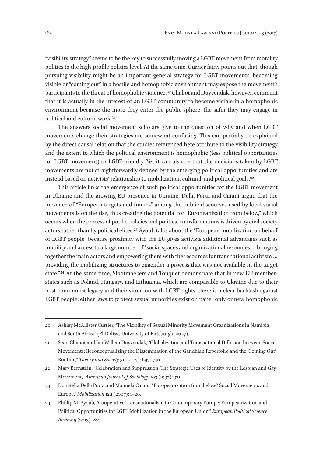"visibility strategy" seems to be the key to successfully moving a LGBT movement from morality politics to the high-profile politics level. At the same time, Currier fairly points out that, though pursuing visibility might be an important general strategy for LGBT movements, becoming visible or "coming out" in a hostile and homophobic environment may expose the movement's participants to the threat of homophobic violence.20 Chabot and Duyvendak, however, comment that it is actually in the interest of an LGBT community to become visible in a homophobic environment because the more they enter the public sphere, the safer they may engage in political and cultural work.21

The answers social movement scholars give to the question of why and when LGBT movements change their strategies are somewhat confusing. This can partially be explained by the direct causal relation that the studies referenced here attribute to the visibility strategy and the extent to which the political environment is homophobic (less political opportunities for LGBT movement) or LGBT-friendly. Yet it can also be that the decisions taken by LGBT movements are not straightforwardly defined by the emerging political opportunities and are instead based on activists' relationship to mobilization, cultural, and political goals.22

This article links the emergence of such political opportunities for the LGBT movement in Ukraine and the growing EU presence in Ukraine. Della Porta and Caiani argue that the presence of "European targets and frames" among the public discourses used by local social movements is on the rise, thus creating the potential for "Europeanization from below," which occurs when the process of public policies and political transformations is driven by civil society actors rather than by political elites.23 Ayoub talks about the "European mobilization on behalf of LGBT people" because proximity with the EU gives activists additional advantages such as mobility and access to a large number of "social spaces and organizational resources … bringing together the main actors and empowering them with the resources for transnational activism … providing the mobilizing structures to engender a process that was not available in the target state."<sup>24</sup> At the same time, Slootmaekers and Touquet demonstrate that in new EU memberstates such as Poland, Hungary, and Lithuania, which are comparable to Ukraine due to their post-communist legacy and their situation with LGBT rights, there is a clear backlash against LGBT people: either laws to protect sexual minorities exist on paper only or new homophobic

<sup>20</sup> Ashley McAllister Currier, "The Visibility of Sexual Minority Movement Organizations in Namibia and South Africa" (PhD diss., University of Pittsburgh, 2007).

<sup>21</sup> Sean Chabot and Jan Willem Duyvendak, "Globalization and Transnational Diffusion between Social Movements: Reconceptualizing the Dissemination of the Gandhian Repertoire and the 'Coming Out' Routine," *Theory and Society* 31 (2007): 697–740.

<sup>22</sup> Mary Bernstein, "Celebration and Suppression: The Strategic Uses of Identity by the Lesbian and Gay Movement," *American Journal of Sociology* 103 (1997): 371.

<sup>23</sup> Donatella Della Porta and Manuela Caiani, "Europeanization from below? Social Movements and Europe," *Mobilization* 12.1 (2007): 1–20.

<sup>24</sup> Phillip M. Ayoub, "Cooperative Transnationalism in Contemporary Europe: Europeanization and Political Opportunities for LGBT Mobilization in the European Union," *European Political Science Review* 5 (2013): 280.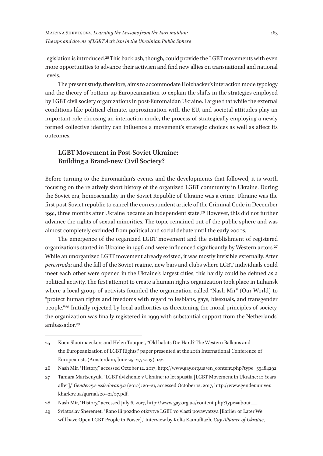legislation is introduced.25 This backlash, though, could provide the LGBT movements with even more opportunities to advance their activism and find new allies on transnational and national levels.

The present study, therefore, aims to accommodate Holzhacker's interaction mode typology and the theory of bottom-up Europeanization to explain the shifts in the strategies employed by LGBT civil society organizations in post-Euromaidan Ukraine. I argue that while the external conditions like political climate, approximation with the EU, and societal attitudes play an important role choosing an interaction mode, the process of strategically employing a newly formed collective identity can influence a movement's strategic choices as well as affect its outcomes.

# **LGBT Movement in Post-Soviet Ukraine: Building a Brand-new Civil Society?**

Before turning to the Euromaidan's events and the developments that followed, it is worth focusing on the relatively short history of the organized LGBT community in Ukraine. During the Soviet era, homosexuality in the Soviet Republic of Ukraine was a crime. Ukraine was the first post-Soviet republic to cancel the correspondent article of the Criminal Code in December 1991, three months after Ukraine became an independent state.26 However, this did not further advance the rights of sexual minorities. The topic remained out of the public sphere and was almost completely excluded from political and social debate until the early 2000s.

The emergence of the organized LGBT movement and the establishment of registered organizations started in Ukraine in 1996 and were influenced significantly by Western actors.27 While an unorganized LGBT movement already existed, it was mostly invisible externally. After *perestroika* and the fall of the Soviet regime, new bars and clubs where LGBT individuals could meet each other were opened in the Ukraine's largest cities, this hardly could be defined as a political activity. The first attempt to create a human rights organization took place in Luhansk where a local group of activists founded the organization called "Nash Mir" (Our World) to "protect human rights and freedoms with regard to lesbians, gays, bisexuals, and transgender people." 28 Initially rejected by local authorities as threatening the moral principles of society, the organization was finally registered in 1999 with substantial support from the Netherlands' ambassador.29

<sup>25</sup> Koen Slootmaeckers and Helen Touquet, "Old habits Die Hard? The Western Balkans and the Europeanization of LGBT Rights," paper presented at the 20th International Conference of Europeanists (Amsterdam, June 25–27, 2013): 142.

<sup>26</sup> Nash Mir, "History," accessed October 12, 2017, http://www.gay.org.ua/en\_content.php?type=55484292.

<sup>27</sup> Tamara Martsenyuk, "LGBT dvizhenie v Ukraine: 10 let spustia [LGBT Movement in Ukraine: 10 Years after]," *Gendernye issledovaniya* (2010): 20–21, accessed October 12, 2017, http://www.gender.univer. kharkov.ua/gurnal/20–21/07.pdf.

<sup>28</sup> Nash Mir, "History," accessed July 6, 2017, http://www.gay.org.ua/content.php?type=about\_\_\_.

<sup>29</sup> Sviatoslav Sheremet, "Rano ili pozdno otkrytye LGBT vo vlasti poyavyatsya [Earlier or Later We will have Open LGBT People in Power]," interview by Kolia Kamufliazh, *Gay Alliance of Ukraine*,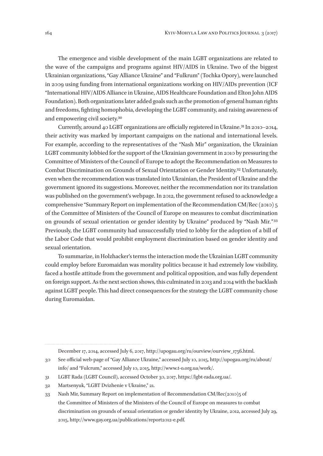The emergence and visible development of the main LGBT organizations are related to the wave of the campaigns and programs against HIV/AIDS in Ukraine. Two of the biggest Ukrainian organizations, "Gay Alliance Ukraine" and "Fulkrum" (Tochka Opory), were launched in 2009 using funding from international organizations working on HIV/AIDs prevention (ICF "International HIV/AIDS Alliance in Ukraine, AIDS Healthcare Foundation and Elton John AIDS Foundation). Both organizations later added goals such as the promotion of general human rights and freedoms, fighting homophobia, developing the LGBT community, and raising awareness of and empowering civil society.30

Currently, around 40 LGBT organizations are officially registered in Ukraine.31 In 2010–2014, their activity was marked by important campaigns on the national and international levels. For example, according to the representatives of the "Nash Mir" organization, the Ukrainian LGBT community lobbied for the support of the Ukrainian government in 2010 by pressuring the Committee of Ministers of the Council of Europe to adopt the Recommendation on Measures to Combat Discrimination on Grounds of Sexual Orientation or Gender Identity.32 Unfortunately, even when the recommendation was translated into Ukrainian, the President of Ukraine and the government ignored its suggestions. Moreover, neither the recommendation nor its translation was published on the government's webpage. In 2012, the government refused to acknowledge a comprehensive "Summary Report on implementation of the Recommendation CM/Rec (2010) 5 of the Committee of Ministers of the Council of Europe on measures to combat discrimination on grounds of sexual orientation or gender identity by Ukraine" produced by "Nash Mir*.*" 33 Previously, the LGBT community had unsuccessfully tried to lobby for the adoption of a bill of the Labor Code that would prohibit employment discrimination based on gender identity and sexual orientation.

To summarize, in Holzhacker's terms the interaction mode the Ukrainian LGBT community could employ before Euromaidan was morality politics because it had extremely low visibility, faced a hostile attitude from the government and political opposition, and was fully dependent on foreign support. As the next section shows, this culminated in 2013 and 2014 with the backlash against LGBT people. This had direct consequences for the strategy the LGBT community chose during Euromaidan.

December 17, 2014, accessed July 6, 2017, http://upogau.org/ru/ourview/ourview\_1756.html.

<sup>30</sup> See official web-page of "Gay Alliance Ukraine," accessed July 10, 2015, http://upogau.org/ru/about/ info/ and "Fulcrum," accessed July 10, 2015, http://www.t-o.org.ua/work/.

<sup>31</sup> LGBT Rada (LGBT Council), accessed October 30, 2017, https://lgbt-rada.org.ua/.

<sup>32</sup> Martsenyuk, "LGBT Dvizhenie v Ukraine," 21.

<sup>33</sup> Nash Mir, Summary Report on implementation of Recommendation CM/Rec(2010)5 of the Committee of Ministers of the Ministers of the Council of Europe on measures to combat discrimination on grounds of sexual orientation or gender identity by Ukraine, 2012, accessed July 29, 2015, http://www.gay.org.ua/publications/report2012-e.pdf.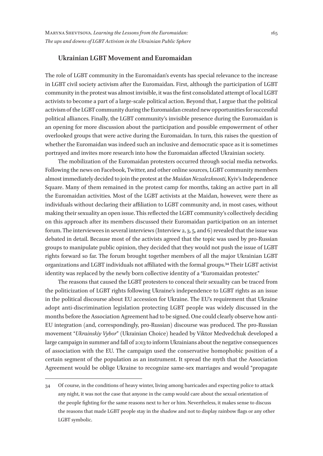#### **Ukrainian LGBT Movement and Euromaidan**

The role of LGBT community in the Euromaidan's events has special relevance to the increase in LGBT civil society activism after the Euromaidan. First, although the participation of LGBT community in the protest was almost invisible, it was the first consolidated attempt of local LGBT activists to become a part of a large-scale political action. Beyond that, I argue that the political activism of the LGBT community during the Euromaidan created new opportunities for successful political alliances. Finally, the LGBT community's invisible presence during the Euromaidan is an opening for more discussion about the participation and possible empowerment of other overlooked groups that were active during the Euromaidan. In turn, this raises the question of whether the Euromaidan was indeed such an inclusive and democratic space as it is sometimes portrayed and invites more research into how the Euromaidan affected Ukrainian society.

The mobilization of the Euromaidan protesters occurred through social media networks. Following the news on Facebook, Twitter, and other online sources, LGBT community members almost immediately decided to join the protest at the *Maidan Nezalezhnosti*, Kyiv's Independence Square. Many of them remained in the protest camp for months, taking an active part in all the Euromaidan activities. Most of the LGBT activists at the Maidan, however, were there as individuals without declaring their affiliation to LGBT community and, in most cases, without making their sexuality an open issue. This reflected the LGBT community's collectively deciding on this approach after its members discussed their Euromaidan participation on an internet forum. The interviewees in several interviews (Interview 2, 3, 5, and 6) revealed that the issue was debated in detail. Because most of the activists agreed that the topic was used by pro-Russian groups to manipulate public opinion, they decided that they would not push the issue of LGBT rights forward so far. The forum brought together members of all the major Ukrainian LGBT organizations and LGBT individuals not affiliated with the formal groups.34 Their LGBT activist identity was replaced by the newly born collective identity of a "Euromaidan protester."

The reasons that caused the LGBT protesters to conceal their sexuality can be traced from the politicization of LGBT rights following Ukraine's independence to LGBT rights as an issue in the political discourse about EU accession for Ukraine. The EU's requirement that Ukraine adopt anti-discrimination legislation protecting LGBT people was widely discussed in the months before the Association Agreement had to be signed. One could clearly observe how anti-EU integration (and, correspondingly, pro-Russian) discourse was produced. The pro-Russian movement "*Ukrainskiy Vybor*" (Ukrainian Choice) headed by Viktor Medvedchuk developed a large campaign in summer and fall of 2013 to inform Ukrainians about the negative consequences of association with the EU. The campaign used the conservative homophobic position of a certain segment of the population as an instrument. It spread the myth that the Association Agreement would be oblige Ukraine to recognize same-sex marriages and would "propagate

<sup>34</sup> Of course, in the conditions of heavy winter, living among barricades and expecting police to attack any night, it was not the case that anyone in the camp would care about the sexual orientation of the people fighting for the same reasons next to her or him. Nevertheless, it makes sense to discuss the reasons that made LGBT people stay in the shadow and not to display rainbow flags or any other LGBT symbolic.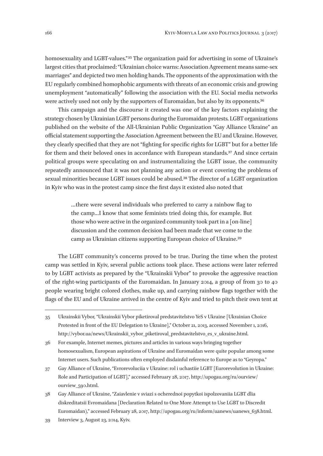homosexuality and LGBT-values."<sup>35</sup> The organization paid for advertising in some of Ukraine's largest cities that proclaimed: "Ukrainian choice warns: Association Agreement means same-sex marriages" and depicted two men holding hands. The opponents of the approximation with the EU regularly combined homophobic arguments with threats of an economic crisis and growing unemployment "automatically" following the association with the EU. Social media networks were actively used not only by the supporters of Euromaidan, but also by its opponents.36

This campaign and the discourse it created was one of the key factors explaining the strategy chosen by Ukrainian LGBT persons during the Euromaidan protests. LGBT organizations published on the website of the All-Ukrainian Public Organization "Gay Alliance Ukraine" an official statement supporting the Association Agreement between the EU and Ukraine. However, they clearly specified that they are not "fighting for specific rights for LGBT" but for a better life for them and their beloved ones in accordance with European standards.37 And since certain political groups were speculating on and instrumentalizing the LGBT issue, the community repeatedly announced that it was not planning any action or event covering the problems of sexual minorities because LGBT issues could be abused.<sup>38</sup> The director of a LGBT organization in Kyiv who was in the protest camp since the first days it existed also noted that

> …there were several individuals who preferred to carry a rainbow flag to the camp…I know that some feminists tried doing this, for example. But those who were active in the organized community took part in a [on-line] discussion and the common decision had been made that we come to the camp as Ukrainian citizens supporting European choice of Ukraine.39

The LGBT community's concerns proved to be true. During the time when the protest camp was settled in Kyiv, several public actions took place. These actions were later referred to by LGBT activists as prepared by the "Ukrainskii Vybor" to provoke the aggressive reaction of the right-wing participants of the Euromaidan. In January 2014, a group of from 30 to 40 people wearing bright colored clothes, make up, and carrying rainbow flags together with the flags of the EU and of Ukraine arrived in the centre of Kyiv and tried to pitch their own tent at

<sup>35</sup> Ukrainskii Vybor, "Ukrainskii Vybor piketiroval predstavitelstvo YeS v Ukraine [Ukrainian Choice Protested in front of the EU Delegation to Ukraine]," October 21, 2013, accessed November 1, 2016, http://vybor.ua/news/Ukrainskii\_vybor\_piketiroval\_predstavitelstvo\_es\_v\_ukraine.html.

<sup>36</sup> For example, Internet memes, pictures and articles in various ways bringing together homosexualism, European aspirations of Ukraine and Euromaidan were quite popular among some Internet users. Such publications often employed disdainful reference to Europe as to "Geyropa."

<sup>37</sup> Gay Alliance of Ukraine, "Evrorevoluciia v Ukraine: rol i uchastiie LGBT [Eurorevolution in Ukraine: Role and Participation of LGBT]," accessed February 28, 2017, http://upogau.org/ru/ourview/ ourview\_590.html.

<sup>38</sup> Gay Alliance of Ukraine, "Zaiavlenie v sviazi s ocherednoi popytkoi ispolzovaniia LGBT dlia diskreditatsii Evromaidana [Declaration Related to One More Attempt to Use LGBT to Discredit Euromaidan)," accessed February 28, 2017, http://upogau.org/ru/inform/uanews/uanews\_638.html.

<sup>39</sup> Interview 3, August 23, 2014, Kyiv.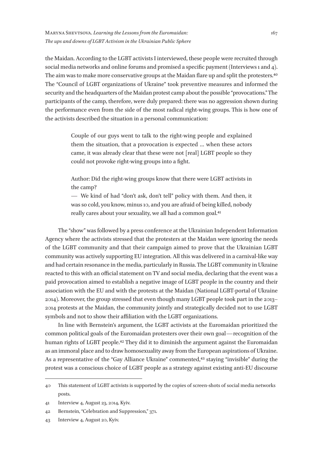the Maidan. According to the LGBT activists I interviewed, these people were recruited through social media networks and online forums and promised a specific payment (Interviews 1 and 4). The aim was to make more conservative groups at the Maidan flare up and split the protesters.<sup>40</sup> The "Council of LGBT organizations of Ukraine" took preventive measures and informed the security and the headquarters of the Maidan protest camp about the possible "provocations." The participants of the camp, therefore, were duly prepared: there was no aggression shown during the performance even from the side of the most radical right-wing groups. This is how one of the activists described the situation in a personal communication:

> Couple of our guys went to talk to the right-wing people and explained them the situation, that a provocation is expected … when these actors came, it was already clear that these were not [real] LGBT people so they could not provoke right-wing groups into a fight.

> Author: Did the right-wing groups know that there were LGBT activists in the camp?

> — We kind of had "don't ask, don't tell" policy with them. And then, it was so cold, you know, minus 10, and you are afraid of being killed, nobody really cares about your sexuality, we all had a common goal.<sup>41</sup>

The "show" was followed by a press conference at the Ukrainian Independent Information Agency where the activists stressed that the protesters at the Maidan were ignoring the needs of the LGBT community and that their campaign aimed to prove that the Ukrainian LGBT community was actively supporting EU integration. All this was delivered in a carnival-like way and had certain resonance in the media, particularly in Russia. The LGBT community in Ukraine reacted to this with an official statement on TV and social media, declaring that the event was a paid provocation aimed to establish a negative image of LGBT people in the country and their association with the EU and with the protests at the Maidan (National LGBT-portal of Ukraine 2014). Moreover, the group stressed that even though many LGBT people took part in the 2013– 2014 protests at the Maidan, the community jointly and strategically decided not to use LGBT symbols and not to show their affiliation with the LGBT organizations.

In line with Bernstein's argument, the LGBT activists at the Euromaidan prioritized the common political goals of the Euromaidan protesters over their own goal—recognition of the human rights of LGBT people.<sup>42</sup> They did it to diminish the argument against the Euromaidan as an immoral place and to draw homosexuality away from the European aspirations of Ukraine. As a representative of the "Gay Alliance Ukraine" commented,<sup>43</sup> staying "invisible" during the protest was a conscious choice of LGBT people as a strategy against existing anti-EU discourse

<sup>40</sup> This statement of LGBT activists is supported by the copies of screen-shots of social media networks posts.

<sup>41</sup> Interview 4, August 23, 2014, Kyiv.

<sup>42</sup> Bernstein, "Celebration and Suppression," 371.

<sup>43</sup> Interview 4, August 20, Kyiv.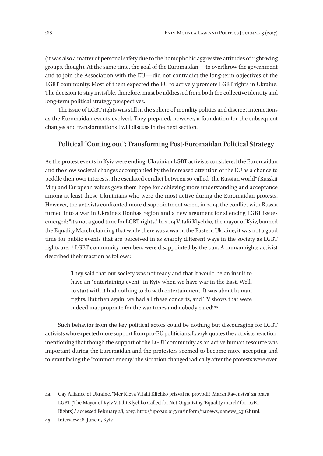(it was also a matter of personal safety due to the homophobic aggressive attitudes of right-wing groups, though). At the same time, the goal of the Euromaidan—to overthrow the government and to join the Association with the EU—did not contradict the long-term objectives of the LGBT community. Most of them expected the EU to actively promote LGBT rights in Ukraine. The decision to stay invisible, therefore, must be addressed from both the collective identity and long-term political strategy perspectives.

The issue of LGBT rights was still in the sphere of morality politics and discreet interactions as the Euromaidan events evolved. They prepared, however, a foundation for the subsequent changes and transformations I will discuss in the next section.

#### **Political "Сoming out": Transforming Post-Euromaidan Political Strategy**

As the protest events in Kyiv were ending, Ukrainian LGBT activists considered the Euromaidan and the slow societal changes accompanied by the increased attention of the EU as a chance to peddle their own interests. The escalated conflict between so-called "the Russian world" (Russkii Mir) and European values gave them hope for achieving more understanding and acceptance among at least those Ukrainians who were the most active during the Euromaidan protests. However, the activists confronted more disappointment when, in 2014, the conflict with Russia turned into a war in Ukraine's Donbas region and a new argument for silencing LGBT issues emerged: "it's not a good time for LGBT rights." In 2014 Vitalii Klychko, the mayor of Kyiv, banned the Equality March claiming that while there was a war in the Eastern Ukraine, it was not a good time for public events that are perceived in as sharply different ways in the society as LGBT rights are.44 LGBT community members were disappointed by the ban. A human rights activist described their reaction as follows:

> They said that our society was not ready and that it would be an insult to have an "entertaining event" in Kyiv when we have war in the East. Well, to start with it had nothing to do with entertainment. It was about human rights. But then again, we had all these concerts, and TV shows that were indeed inappropriate for the war times and nobody cared! 45

Such behavior from the key political actors could be nothing but discouraging for LGBT activists who expected more support from pro-EU politicians. Lavryk quotes the activists' reaction, mentioning that though the support of the LGBT community as an active human resource was important during the Euromaidan and the protesters seemed to become more accepting and tolerant facing the "common enemy," the situation changed radically after the protests were over.

<sup>44</sup> Gay Alliance of Ukraine, "Mer Kieva Vitalii Klichko prizval ne provodit 'Marsh Ravenstva' za prava LGBT (The Mayor of Kyiv Vitalii Klychko Called for Not Organizing 'Equality march' for LGBT Rights)," accessed February 28, 2017, http://upogau.org/ru/inform/uanews/uanews\_2316.html.

<sup>45</sup> Interview 18, June 11, Kyiv.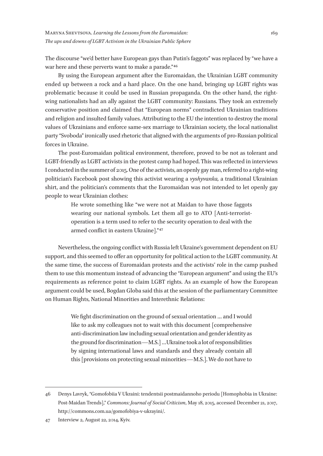The discourse "we'd better have European gays than Putin's faggots" was replaced by "we have a war here and these perverts want to make a parade." 46

By using the European argument after the Euromaidan, the Ukrainian LGBT community ended up between a rock and a hard place. On the one hand, bringing up LGBT rights was problematic because it could be used in Russian propaganda. On the other hand, the rightwing nationalists had an ally against the LGBT community: Russians. They took an extremely conservative position and claimed that "European norms" contradicted Ukrainian traditions and religion and insulted family values. Attributing to the EU the intention to destroy the moral values of Ukrainians and enforce same-sex marriage to Ukrainian society, the local nationalist party "Svoboda" ironically used rhetoric that aligned with the arguments of pro-Russian political forces in Ukraine.

The post-Euromaidan political environment, therefore, proved to be not as tolerant and LGBT-friendly as LGBT activists in the protest camp had hoped. This was reflected in interviews I conducted in the summer of 2015. One of the activists, an openly gay man, referred to a right-wing politician's Facebook post showing this activist wearing a *vyshyvanka,* a traditional Ukrainian shirt, and the politician's comments that the Euromaidan was not intended to let openly gay people to wear Ukrainian clothes:

> He wrote something like "we were not at Maidan to have those faggots wearing our national symbols. Let them all go to ATO [Anti-terroristoperation is a term used to refer to the security operation to deal with the armed conflict in eastern Ukraine]." 47

Nevertheless, the ongoing conflict with Russia left Ukraine's government dependent on EU support, and this seemed to offer an opportunity for political action to the LGBT community. At the same time, the success of Euromaidan protests and the activists' role in the camp pushed them to use this momentum instead of advancing the "European argument" and using the EU's requirements as reference point to claim LGBT rights. As an example of how the European argument could be used, Bogdan Globa said this at the session of the parliamentary Committee on Human Rights, National Minorities and Interethnic Relations:

> We fight discrimination on the ground of sexual orientation … and I would like to ask my colleagues not to wait with this document [comprehensive anti-discrimination law including sexual orientation and gender identity as the ground for discrimination—M.S.] …Ukraine took a lot of responsibilities by signing international laws and standards and they already contain all this [provisions on protecting sexual minorities—M.S.]. We do not have to

<sup>46</sup> Denys Lavryk, "Gomofobiia V Ukraini: tendentsii postmaidannoho perіodu [Homophobia in Ukraine: Post-Maidan Trends]," *Commons: Journal of Social Criticism*, May 18, 2015, accessed December 21, 2017, http://commons.com.ua/gomofobiya-v-ukrayini/.

<sup>47</sup> Interview 2, August 22, 2014, Kyiv.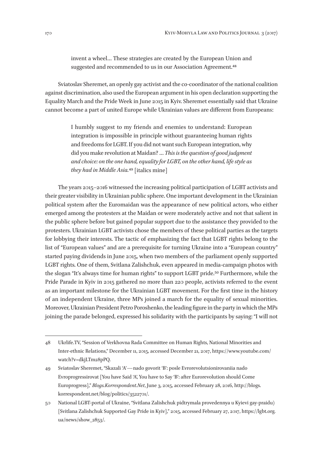invent a wheel… These strategies are created by the European Union and suggested and recommended to us in our Association Agreement.<sup>48</sup>

Sviatoslav Sheremet, an openly gay activist and the co-coordinator of the national coalition against discrimination, also used the European argument in his open declaration supporting the Equality March and the Pride Week in June 2015 in Kyiv. Sheremet essentially said that Ukraine cannot become a part of united Europe while Ukrainian values are different from Europeans:

> I humbly suggest to my friends and enemies to understand: European integration is impossible in principle without guaranteeing human rights and freedoms for LGBT. If you did not want such European integration, why did you make revolution at Maidan? … *This is the question of good judgment and choice: on the one hand, equality for LGBT, on the other hand, life style as they had in Middle Asia.*49 [italics mine]

The years 2015–2016 witnessed the increasing political participation of LGBT activists and their greater visibility in Ukrainian public sphere. One important development in the Ukrainian political system after the Euromaidan was the appearance of new political actors, who either emerged among the protesters at the Maidan or were moderately active and not that salient in the public sphere before but gained popular support due to the assistance they provided to the protesters. Ukrainian LGBT activists chose the members of these political parties as the targets for lobbying their interests. The tactic of emphasizing the fact that LGBT rights belong to the list of "European values" and are a prerequisite for turning Ukraine into a "European country" started paying dividends in June 2015, when two members of the parliament openly supported LGBT rights. One of them, Svitlana Zalishchuk, even appeared in media-campaign photos with the slogan "It's always time for human rights" to support LGBT pride.50 Furthermore, while the Pride Parade in Kyiv in 2015 gathered no more than 220 people, activists referred to the event as an important milestone for the Ukrainian LGBT movement. For the first time in the history of an independent Ukraine, three MPs joined a march for the equality of sexual minorities. Moreover, Ukrainian President Petro Poroshenko, the leading figure in the party in which the MPs joining the parade belonged, expressed his solidarity with the participants by saying: "I will not

<sup>48</sup> Ukrlife.TV, "Session of Verkhovna Rada Committee on Human Rights, National Minorities and Inter-ethnic Relations," December 11, 2015, accessed December 21, 2017, https://www.youtube.com/ watch?v=dkjLTm28pPQ.

<sup>49</sup> Sviatoslav Sheremet, "Skazali 'A'—nado govorit 'B': posle Evrorevolutsionirovaniia nado Evroprogressirovat [You have Said 'A', You have to Say 'B': after Eurorevolution should Come Europrogress]," *Blogs.Korrespondent.Net*, June 3, 2015, accessed February 28, 2016, http://blogs. korrespondent.net/blog/politics/3522701/.

<sup>50</sup> National LGBT-portal of Ukraine, "Svitlana Zalishchuk pidtrymala provedennya u Kyievi gay-praidu) [Svitlana Zalishchuk Supported Gay Pride in Kyiv]," 2015, accessed February 27, 2017, https://lgbt.org. ua/news/show  $2853/$ .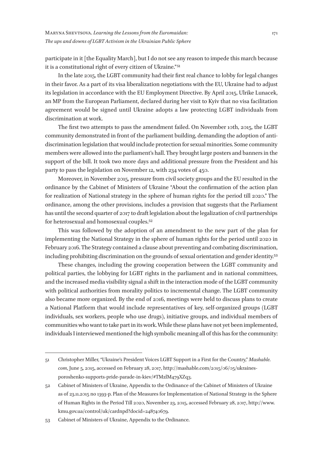participate in it [the Equality March], but I do not see any reason to impede this march because it is a constitutional right of every citizen of Ukraine." 51

In the late 2015, the LGBT community had their first real chance to lobby for legal changes in their favor. As a part of its visa liberalization negotiations with the EU, Ukraine had to adjust its legislation in accordance with the EU Employment Directive. By April 2015, Ulrike Lunacek, an MP from the European Parliament, declared during her visit to Kyiv that no visa facilitation agreement would be signed until Ukraine adopts a law protecting LGBT individuals from discrimination at work.

The first two attempts to pass the amendment failed. On November 10th, 2015, the LGBT community demonstrated in front of the parliament building, demanding the adoption of antidiscrimination legislation that would include protection for sexual minorities. Some community members were allowed into the parliament's hall. They brought large posters and banners in the support of the bill. It took two more days and additional pressure from the President and his party to pass the legislation on November 12, with 234 votes of 450.

Moreover, in November 2015, pressure from civil society groups and the EU resulted in the ordinance by the Cabinet of Ministers of Ukraine "About the confirmation of the action plan for realization of National strategy in the sphere of human rights for the period till 2020." The ordinance, among the other provisions, includes a provision that suggests that the Parliament has until the second quarter of 2017 to draft legislation about the legalization of civil partnerships for heterosexual and homosexual couples.52

This was followed by the adoption of an amendment to the new part of the plan for implementing the National Strategy in the sphere of human rights for the period until 2020 in February 2016. The Strategy contained a clause about preventing and combating discrimination, including prohibiting discrimination on the grounds of sexual orientation and gender identity.<sup>53</sup>

These changes, including the growing cooperation between the LGBT community and political parties, the lobbying for LGBT rights in the parliament and in national committees, and the increased media visibility signal a shift in the interaction mode of the LGBT community with political authorities from morality politics to incremental change. The LGBT community also became more organized. By the end of 2016, meetings were held to discuss plans to create a National Platform that would include representatives of key, self-organized groups (LGBT individuals, sex workers, people who use drugs), initiative groups, and individual members of communities who want to take part in its work. While these plans have not yet been implemented, individuals I interviewed mentioned the high symbolic meaning all of this has for the community:

<sup>51</sup> Christopher Miller, "Ukraine's President Voices LGBT Support in a First for the Country," *Mashable. com*, June 5, 2015, accessed on February 28, 2017, http://mashable.com/2015/06/05/ukrainesporoshenko-supports-pride-parade-in-kiev/#TMzlM479XZq3.

<sup>52</sup> Cabinet of Ministers of Ukraine, Appendix to the Ordinance of the Cabinet of Ministers of Ukraine as of 23.11.2015 no 1393-p. Plan of the Measures for Implementation of National Strategy in the Sphere of Human Rights in the Period Till 2020, November 23, 2015, accessed February 28, 2017, http://www. kmu.gov.ua/control/uk/cardnpd?docid=248740679.

<sup>53</sup> Cabinet of Ministers of Ukraine, Appendix to the Ordinance.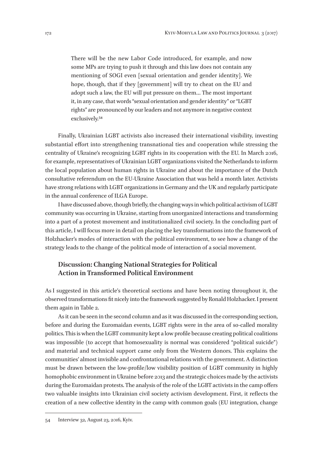There will be the new Labor Code introduced, for example, and now some MPs are trying to push it through and this law does not contain any mentioning of SOGI even [sexual orientation and gender identity]. We hope, though, that if they [government] will try to cheat on the EU and adopt such a law, the EU will put pressure on them… The most important it, in any case, that words "sexual orientation and gender identity" or "LGBT rights" are pronounced by our leaders and not anymore in negative context exclusively.54

Finally, Ukrainian LGBT activists also increased their international visibility, investing substantial effort into strengthening transnational ties and cooperation while stressing the centrality of Ukraine's recognizing LGBT rights in its cooperation with the EU. In March 2016, for example, representatives of Ukrainian LGBT organizations visited the Netherlands to inform the local population about human rights in Ukraine and about the importance of the Dutch consultative referendum on the EU-Ukraine Association that was held a month later. Activists have strong relations with LGBT organizations in Germany and the UK and regularly participate in the annual conference of ILGA Europe.

I have discussed above, though briefly, the changing ways in which political activism of LGBT community was occurring in Ukraine, starting from unorganized interactions and transforming into a part of a protest movement and institutionalized civil society. In the concluding part of this article, I will focus more in detail on placing the key transformations into the framework of Holzhacker's modes of interaction with the political environment, to see how a change of the strategy leads to the change of the political mode of interaction of a social movement.

# **Discussion: Changing National Strategies for Political Action in Transformed Political Environment**

As I suggested in this article's theoretical sections and have been noting throughout it, the observed transformations fit nicely into the framework suggested by Ronald Holzhacker. I present them again in Table 2.

As it can be seen in the second column and as it was discussed in the corresponding section, before and during the Euromaidan events, LGBT rights were in the area of so-called morality politics. This is when the LGBT community kept a low profile because creating political coalitions was impossible (to accept that homosexuality is normal was considered "political suicide") and material and technical support came only from the Western donors. This explains the communities' almost invisible and confrontational relations with the government. A distinction must be drawn between the low-profile/low visibility position of LGBT community in highly homophobic environment in Ukraine before 2013 and the strategic choices made by the activists during the Euromaidan protests. The analysis of the role of the LGBT activists in the camp offers two valuable insights into Ukrainian civil society activism development. First, it reflects the creation of a new collective identity in the camp with common goals (EU integration, change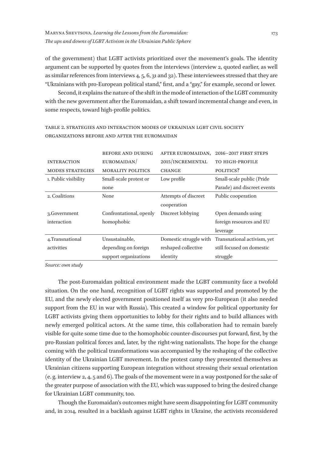of the government) that LGBT activists prioritized over the movement's goals. The identity argument can be supported by quotes from the interviews (interview 2, quoted earlier, as well as similar references from interviews 4, 5, 6, 31 and 32). These interviewees stressed that they are "Ukrainians with pro-European political stand," first, and a "gay," for example, second or lower.

Second, it explains the nature of the shift in the mode of interaction of the LGBT community with the new government after the Euromaidan, a shift toward incremental change and even, in some respects, toward high-profile politics.

|                         | BEFORE AND DURING        | AFTER EUROMAIDAN,      | 2016-2017 FIRST STEPS       |
|-------------------------|--------------------------|------------------------|-----------------------------|
| <b>INTERACTION</b>      | EUROMAIDAN/              | 2015/INCREMENTAL       | TO HIGH-PROFILE             |
| <b>MODES STRATEGIES</b> | <b>MORALITY POLITICS</b> | <b>CHANGE</b>          | POLITICS?                   |
| 1. Public visibility    | Small-scale protest or   | Low profile            | Small-scale public (Pride   |
|                         | none                     |                        | Parade) and discreet events |
| 2. Coalitions           | <b>None</b>              | Attempts of discreet   | Public cooperation          |
|                         |                          | cooperation            |                             |
| 3.Government            | Confrontational, openly  | Discreet lobbying      | Open demands using          |
| interaction             | homophobic               |                        | foreign resources and EU    |
|                         |                          |                        | leverage                    |
| 4.Transnational         | Unsustainable,           | Domestic struggle with | Transnational activism, yet |
| activities              | depending on foreign     | reshaped collective    | still focused on domestic   |
|                         | support organizations    | identity               | struggle                    |

#### Table 2. Strategies and interaction modes of Ukrainian LGBT civil society organizations before and after the Euromaidan

*Source: own study*

The post-Euromaidan political environment made the LGBT community face a twofold situation. On the one hand, recognition of LGBT rights was supported and promoted by the EU, and the newly elected government positioned itself as very pro-European (it also needed support from the EU in war with Russia). This created a window for political opportunity for LGBT activists giving them opportunities to lobby for their rights and to build alliances with newly emerged political actors. At the same time, this collaboration had to remain barely visible for quite some time due to the homophobic counter-discourses put forward, first, by the pro-Russian political forces and, later, by the right-wing nationalists. The hope for the change coming with the political transformations was accompanied by the reshaping of the collective identity of the Ukrainian LGBT movement. In the protest camp they presented themselves as Ukrainian citizens supporting European integration without stressing their sexual orientation (e. g. interview 2, 4, 5 and 6). The goals of the movement were in a way postponed for the sake of the greater purpose of association with the EU, which was supposed to bring the desired change for Ukrainian LGBT community, too.

Though the Euromaidan's outcomes might have seem disappointing for LGBT community and, in 2014, resulted in a backlash against LGBT rights in Ukraine, the activists reconsidered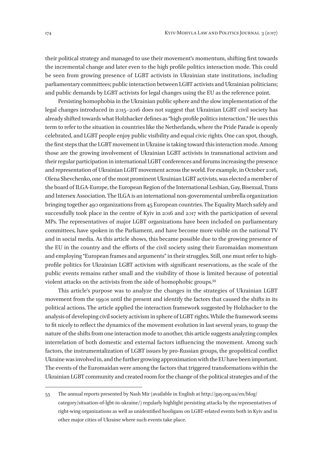their political strategy and managed to use their movement's momentum, shifting first towards the incremental change and later even to the high profile politics interaction mode. This could be seen from growing presence of LGBT activists in Ukrainian state institutions, including parliamentary committees; public interaction between LGBT activists and Ukrainian politicians; and public demands by LGBT activists for legal changes using the EU as the reference point.

Persisting homophobia in the Ukrainian public sphere and the slow implementation of the legal changes introduced in 2015–2016 does not suggest that Ukrainian LGBT civil society has already shifted towards what Holzhacker defines as "high-profile politics interaction." He uses this term to refer to the situation in countries like the Netherlands, where the Pride Parade is openly celebrated, and LGBT people enjoy public visibility and equal civic rights. One can spot, though, the first steps that the LGBT movement in Ukraine is taking toward this interaction mode. Among those are the growing involvement of Ukrainian LGBT activists in transnational activism and their regular participation in international LGBT conferences and forums increasing the presence and representation of Ukrainian LGBT movement across the world. For example, in October 2016, Olena Shevchenko, one of the most prominent Ukrainian LGBT activists, was elected a member of the board of ILGA-Europe, the European Region of the International Lesbian, Gay, Bisexual, Trans and Intersex Association. The ILGA is an international non-governmental umbrella organization bringing together 490 organizations from 45 European countries. The Equality March safely and successfully took place in the centre of Kyiv in 2016 and 2017 with the participation of several MPs. The representatives of major LGBT organizations have been included on parliamentary committees, have spoken in the Parliament, and have become more visible on the national TV and in social media. As this article shows, this became possible due to the growing presence of the EU in the country and the efforts of the civil society using their Euromaidan momentum and employing "European frames and arguments" in their struggles. Still, one must refer to highprofile politics for Ukrainian LGBT activism with significant reservations, as the scale of the public events remains rather small and the visibility of those is limited because of potential violent attacks on the activists from the side of homophobic groups.55

This article's purpose was to analyze the changes in the strategies of Ukrainian LGBT movement from the 1990s until the present and identify the factors that caused the shifts in its political actions. The article applied the interaction framework suggested by Holzhacker to the analysis of developing civil society activism in sphere of LGBT rights. While the framework seems to fit nicely to reflect the dynamics of the movement evolution in last several years, to grasp the nature of the shifts from one interaction mode to another, this article suggests analyzing complex interrelation of both domestic and external factors influencing the movement. Among such factors, the instrumentalization of LGBT issues by pro-Russian groups, the geopolitical conflict Ukraine was involved in, and the further growing approximation with the EU have been important. The events of the Euromaidan were among the factors that triggered transformations within the Ukrainian LGBT community and created room for the change of the political strategies and of the

<sup>55</sup> The annual reports presented by Nash Mir (available in English at http://gay.org.ua/en/blog/ category/situation-of-lgbt-in-ukraine/) regularly highlight persisting attacks by the representatives of right-wing organizations as well as unidentified hooligans on LGBT-related events both in Kyiv and in other major cities of Ukraine where such events take place.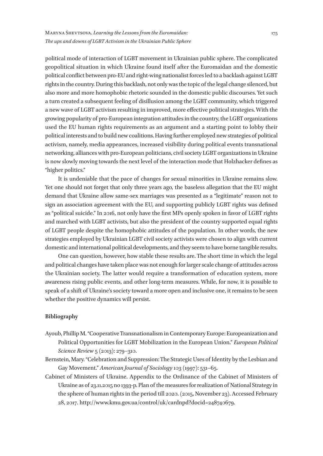political mode of interaction of LGBT movement in Ukrainian public sphere. The complicated geopolitical situation in which Ukraine found itself after the Euromaidan and the domestic political conflict between pro-EU and right-wing nationalist forces led to a backlash against LGBT rights in the country. During this backlash, not only was the topic of the legal change silenced, but also more and more homophobic rhetoric sounded in the domestic public discourses. Yet such a turn created a subsequent feeling of disillusion among the LGBT community, which triggered a new wave of LGBT activism resulting in improved, more effective political strategies. With the growing popularity of pro-European integration attitudes in the country, the LGBT organizations used the EU human rights requirements as an argument and a starting point to lobby their political interests and to build new coalitions. Having further employed new strategies of political activism, namely, media appearances, increased visibility during political events transnational networking, alliances with pro-European politicians, civil society LGBT organizations in Ukraine is now slowly moving towards the next level of the interaction mode that Holzhacker defines as "higher politics."

It is undeniable that the pace of changes for sexual minorities in Ukraine remains slow. Yet one should not forget that only three years ago, the baseless allegation that the EU might demand that Ukraine allow same-sex marriages was presented as a "legitimate" reason not to sign an association agreement with the EU, and supporting publicly LGBT rights was defined as "political suicide." In 2016, not only have the first MPs openly spoken in favor of LGBT rights and marched with LGBT activists, but also the president of the country supported equal rights of LGBT people despite the homophobic attitudes of the population. In other words, the new strategies employed by Ukrainian LGBT civil society activists were chosen to align with current domestic and international political developments, and they seem to have borne tangible results.

One can question, however, how stable these results are. The short time in which the legal and political changes have taken place was not enough for larger scale change of attitudes across the Ukrainian society. The latter would require a transformation of education system, more awareness rising public events, and other long-term measures. While, for now, it is possible to speak of a shift of Ukraine's society toward a more open and inclusive one, it remains to be seen whether the positive dynamics will persist.

#### **Bibliography**

- Ayoub, Phillip M. "Cooperative Transnationalism in Contemporary Europe: Europeanization and Political Opportunities for LGBT Mobilization in the European Union." *European Political Science Review* 5 (2013): 279–310.
- Bernstein, Mary. "Celebration and Suppression: The Strategic Uses of Identity by the Lesbian and Gay Movement." *American Journal of Sociology* 103 (1997): 531–65.
- Cabinet of Ministers of Ukraine. Appendix to the Ordinance of the Cabinet of Ministers of Ukraine as of 23.11.2015 no 1393-p. Plan of the measures for realization of National Strategy in the sphere of human rights in the period till 2020. (2015, November 23). Accessed February 28, 2017. http://www.kmu.gov.ua/control/uk/cardnpd?docid=248740679.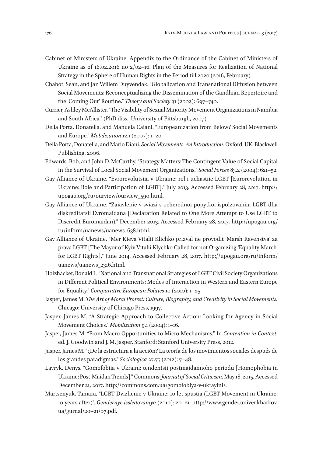- Cabinet of Ministers of Ukraine. Appendix to the Ordinance of the Cabinet of Ministers of Ukraine as of 16.02.2016 no 2/02–16. Plan of the Measures for Realization of National Strategy in the Sphere of Human Rights in the Period till 2020 (2016, February).
- Chabot, Sean, and Jan Willem Duyvendak. "Globalization and Transnational Diffusion between Social Movements: Reconceptualizing the Dissemination of the Gandhian Repertoire and the 'Coming Out' Routine." *Theory and Society* 31 (2002): 697–740.
- Currier, Ashley McAllister. "The Visibility of Sexual Minority Movement Organizations in Namibia and South Africa." (PhD diss., University of Pittsburgh, 2007).
- Della Porta, Donatella, and Manuela Caiani. "Europeanization from Below? Social Movements and Europe." *Mobilization* 12.1 (2007): 1–20.
- Della Porta, Donatella, and Mario Diani. *Social Movements. An Introduction.* Oxford, UK: Blackwell Publishing, 2006.
- Edwards, Bob, and John D. McCarthy. "Strategy Matters: The Contingent Value of Social Capital in the Survival of Local Social Movement Organizations." *Social Forces* 83.2 (2004): 621–52.
- Gay Alliance of Ukraine. "Evrorevolutsiia v Ukraine: rol i uchastiie LGBT [Eurorevolution in Ukraine: Role and Participation of LGBT]." July 2013. Accessed February 28, 2017. http:// upogau.org/ru/ourview/ourview\_590.html.
- Gay Alliance of Ukraine. "Zaiavlenie v sviazi s ocherednoi popytkoi ispolzovaniia LGBT dlia diskreditatsii Evromaidana [Declaration Related to One More Attempt to Use LGBT to Discredit Euromaidan)." December 2013. Accessed February 28, 2017. http://upogau.org/ ru/inform/uanews/uanews\_638.html.
- Gay Alliance of Ukraine. "Mer Kieva Vitalii Klichko prizval ne provodit 'Marsh Ravenstva' za prava LGBT [The Mayor of Kyiv Vitalii Klychko Called for not Organizing 'Equality March' for LGBT Rights]." June 2014. Accessed February 28, 2017. http://upogau.org/ru/inform/ uanews/uanews\_2316.html.
- Holzhacker, Ronald L. "National and Transnational Strategies of LGBT Civil Society Organizations in Different Political Environments: Modes of Interaction in Western and Eastern Europe for Equality." *Comparative European Politics* 10 (2010): 1–25.
- Jasper, James M. *The Art of Moral Protest: Culture, Biography, and Creativity in Social Movements.* Chicago: University of Chicago Press, 1997.
- Jasper, James M. "A Strategic Approach to Collective Action: Looking for Agency in Social Movement Choices." *Mobilization* 9.1 (2004): 1–16.
- Jasper, James M. "From Macro Opportunities to Micro Mechanisms." In *Contention in Context*, ed. J. Goodwin and J. M. Jasper. Stanford: Stanford University Press, 2012.
- Jasper, James M. "¿De la estructura a la acción? La teoría de los movimientos sociales después de los grandes paradigmas." *Sociologica* 27.75 (2012): 7–48.
- Lavryk, Denys. "Gomofobiia v Ukraini: tendentsii postmaidannoho perіodu [Homophobia in Ukraine: Post-Maidan Trends]." Commons: *Journal of Social Criticism*.May 18, 2015. Accessed December 21, 2017. http://commons.com.ua/gomofobiya-v-ukrayini/.
- Martsenyuk, Tamara. "LGBT Dvizhenie v Ukraine: 10 let spustia (LGBT Movement in Ukraine: 10 years after)". *Gendernye issledovaniya* (2010): 20–21. http://www.gender.univer.kharkov. ua/gurnal/20–21/07.pdf.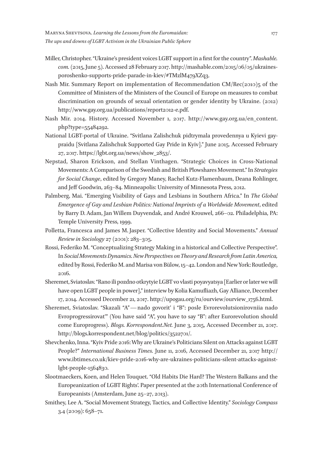- Miller, Christopher. "Ukraine's president voices LGBT support in a first for the country". *Mashable. com.* (2015, June 5). Accessed 28 February 2017. http://mashable.com/2015/06/05/ukrainesporoshenko-supports-pride-parade-in-kiev/#TMzlM479XZq3.
- Nash Mir. Summary Report on implementation of Recommendation CM/Rec(2010)5 of the Committee of Ministers of the Ministers of the Council of Europe on measures to combat discrimination on grounds of sexual orientation or gender identity by Ukraine. (2012) http://www.gay.org.ua/publications/report2012-e.pdf.
- Nash Mir. 2014. History. Accessed November 1, 2017. http://www.gay.org.ua/en\_content. php?type=55484292.
- National LGBT-portal of Ukraine. "Svitlana Zalishchuk pidtrymala provedennya u Kyievi gaypraidu [Svitlana Zalishchuk Supported Gay Pride in Kyiv]." June 2015. Accessed February 27, 2017. https://lgbt.org.ua/news/show\_2853/.
- Nepstad, Sharon Erickson, and Stellan Vinthagen. "Strategic Choices in Cross-National Movements: A Comparison of the Swedish and British Plowshares Movement." In *Strategies for Social Change*, edited by Gregory Maney, Rachel Kutz-Flamenbaum, Deana Rohlinger, and Jeff Goodwin, 263–84. Minneapolis: University of Minnesota Press, 2012.
- Palmberg, Mai. "Emerging Visibility of Gays and Lesbians in Southern Africa." In *The Global Emergence of Gay and Lesbian Politics: National Imprints of a Worldwide Movement*, edited by Barry D. Adam, Jan Willem Duyvendak, and André Krouwel, 266–02. Philadelphia, PA: Temple University Press, 1999.
- Polletta, Francesca and James M. Jasper. "Collective Identity and Social Movements." *Annual Review in Sociology* 27 (2001): 283–305.
- Rossi, Federiko M. "Conceptualizing Strategy Making in a historical and Collective Perspective". In *Social Movements Dynamics. New Perspectives on Theory and Research from Latin America,*  edited by Rossi, Federiko M. and Marisa von Bülow, 15–42. London and New York: Routledge, 2016.
- Sheremet, Sviatoslav. "Rano ili pozdno otkrytyie LGBT vo vlasti poyavyatsya [Earlier or later we will have open LGBT people in power]," interview by Kolia Kamufliazh, Gay Alliance, December 17, 2014. Accessed December 21, 2017. http://upogau.org/ru/ourview/ourview\_1756.html.
- Sheremet, Sviatoslav. "Skazali "A"—nado govorit' i "B": posle Evrorevolutsionirovniia nado Evroprogressirovat'" (You have said "A", you have to say "B": after Eurorevolution should come Europrogress). *Blogs. Korrespondent.Net.* June 3, 2015, Accessed December 21, 2017. http://blogs.korrespondent.net/blog/politics/3522701/.
- Shevchenko, Inna. "Kyiv Pride 2016: Why are Ukraine's Politicians Silent on Attacks against LGBT People?" *International Business Times.* June 11, 2016, Accessed December 21, 2017 http:// www.ibtimes.co.uk/kiev-pride‑2016-why-are-ukraines-politicians-silent-attacks-againstlgbt-people‑1564830.
- Slootmaeckers, Koen, and Helen Touquet. "Old Habits Die Hard? The Western Balkans and the Europeanization of LGBT Rights'. Paper presented at the 20th International Conference of Europeanists (Amsterdam, June 25–27, 2013).
- Smithey, Lee A. "Social Movement Strategy, Tactics, and Collective Identity." *Sociology Compass* 3.4 (2009): 658–71.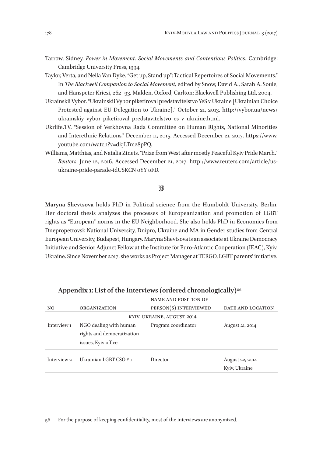- Tarrow, Sidney. *Power in Movement. Social Movements and Contentious Politics*. Cambridge: Cambridge University Press, 1994.
- Taylor, Verta, and Nella Van Dyke. "Get up, Stand up": Tactical Repertoires of Social Movements." In *The Blackwell Companion to Social Movement,* edited by Snow, David A., Sarah A. Soule, and Hanspeter Kriesi, 262–93. Malden, Oxford, Carlton: Blackwell Publishing Ltd, 2004.
- Ukrainskii Vybor. "Ukrainskii Vybor piketiroval predstavitelstvo YeS v Ukraine [Ukrainian Choice Protested against EU Delegation to Ukraine]." October 21, 2013. http://vybor.ua/news/ ukrainskiy\_vybor\_piketiroval\_predstavitelstvo\_es\_v\_ukraine.html.
- Ukrlife.TV. "Session of Verkhovna Rada Committee on Human Rights, National Minorities and Interethnic Relations." December 11, 2015. Accessed December 21, 2017. https://www. youtube.com/watch?v=dkjLTm28pPQ.
- Williams, Matthias, and Natalia Zinets. "Prize from West after mostly Peaceful Kyiv Pride March." *Reuters*, June 12, 2016. Accessed December 21, 2017. http://www.reuters.com/article/usukraine-pride-parade-idUSKCN 0YY 0FD.

#### 1

**Maryna Shevtsova** holds PhD in Political science from the Humboldt University, Berlin. Her doctoral thesis analyzes the processes of Europeanization and promotion of LGBT rights as "European" norms in the EU Neighborhood. She also holds PhD in Economics from Dnepropetrovsk National University, Dnipro, Ukraine and MA in Gender studies from Central European University, Budapest, Hungary. Maryna Shevtsova is an associate at Ukraine Democracy Initiative and Senior Adjunct Fellow at the Institute for Euro-Atlantic Cooperation (IEAC), Kyiv, Ukraine. Since November 2017, she works as Project Manager at TERGO, LGBT parents' initiative.

|                            |                                                                             | NAME AND POSITION OF  |                                  |
|----------------------------|-----------------------------------------------------------------------------|-----------------------|----------------------------------|
| N <sub>O</sub>             | <b>ORGANIZATION</b>                                                         | PERSON(S) INTERVIEWED | DATE AND LOCATION                |
| KYIV, UKRAINE, AUGUST 2014 |                                                                             |                       |                                  |
| Interview <sub>1</sub>     | NGO dealing with human<br>rights and democratization<br>issues, Kyiv office | Program coordinator   | August 21, 2014                  |
| Interview 2                | Ukrainian LGBT CSO #1                                                       | Director              | August 22, 2014<br>Kyiv, Ukraine |

#### **Appendix 1: List of the Interviews (ordered chronologically) 56**

<sup>56</sup> For the purpose of keeping confidentiality, most of the interviews are anonymized.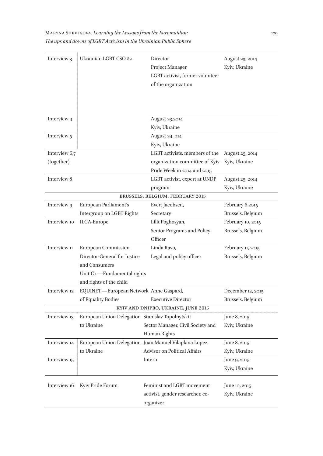| Interview 3                         | Ukrainian LGBT CSO #2                            | Director<br>Project Manager<br>LGBT activist, former volunteer<br>of the organization | August 23, 2014<br>Kyiv, Ukraine |  |
|-------------------------------------|--------------------------------------------------|---------------------------------------------------------------------------------------|----------------------------------|--|
| Interview 4                         |                                                  | August 23,2014                                                                        |                                  |  |
|                                     |                                                  | Kyiv, Ukraine                                                                         |                                  |  |
| Interview <sub>5</sub>              |                                                  | August 24, 014                                                                        |                                  |  |
|                                     |                                                  | Kyiv, Ukraine                                                                         |                                  |  |
| Interview 6,7                       |                                                  | LGBT activists, members of the                                                        | August 25, 2014                  |  |
| (together)                          |                                                  | organization committee of Kyiv                                                        | Kyiv, Ukraine                    |  |
|                                     |                                                  | Pride Week in 2014 and 2015                                                           |                                  |  |
| Interview 8                         |                                                  | LGBT activist, expert at UNDP                                                         | August 25, 2014                  |  |
|                                     |                                                  | program                                                                               | Kyiv, Ukraine                    |  |
|                                     |                                                  | BRUSSELS, BELGIUM, FEBRUARY 2015                                                      |                                  |  |
| Interview 9                         | European Parliament's                            | Evert Jacobsen,                                                                       | February 6,2015                  |  |
|                                     | Intergroup on LGBT Rights                        | Secretary                                                                             | Brussels, Belgium                |  |
| Interview 10                        | ILGA-Europe                                      | Lilit Poghosyan,                                                                      | February 10, 2015                |  |
|                                     |                                                  | Senior Programs and Policy                                                            | Brussels, Belgium                |  |
|                                     |                                                  | Officer                                                                               |                                  |  |
| Interview 11                        | <b>European Commission</b>                       | Linda Ravo,                                                                           | February 11, 2015                |  |
|                                     | Director-General for Justice                     | Legal and policy officer                                                              | Brussels, Belgium                |  |
|                                     | and Consumers                                    |                                                                                       |                                  |  |
|                                     | Unit $C_1$ —Fundamental rights                   |                                                                                       |                                  |  |
|                                     | and rights of the child                          |                                                                                       |                                  |  |
| Interview 12                        | EQUINET-European Network Anne Gaspard,           |                                                                                       | December 12, 2015                |  |
|                                     | of Equality Bodies                               | <b>Executive Director</b>                                                             | Brussels, Belgium                |  |
| KYIV AND DNIPRO, UKRAINE, JUNE 2015 |                                                  |                                                                                       |                                  |  |
| Interview <sub>13</sub>             | European Union Delegation Stanislav Topolnytskii |                                                                                       | June 8, 2015                     |  |
|                                     | to Ukraine                                       | Sector Manager, Civil Society and                                                     | Kyiv, Ukraine                    |  |
|                                     |                                                  | Human Rights                                                                          |                                  |  |
| Interview 14                        |                                                  | European Union Delegation Juan Manuel Vilaplana Lopez,                                | June 8, 2015                     |  |
|                                     | to Ukraine                                       | Advisor on Political Affairs                                                          | Kyiv, Ukraine                    |  |
| Interview <sub>15</sub>             |                                                  | Intern                                                                                | June 9, 2015                     |  |
|                                     |                                                  |                                                                                       | Kyiv, Ukraine                    |  |
|                                     |                                                  |                                                                                       |                                  |  |
| Interview 16                        | Kyiv Pride Forum                                 | Feminist and LGBT movement                                                            | June 10, 2015                    |  |
|                                     |                                                  | activist, gender researcher, co-<br>organizer                                         | Kyiv, Ukraine                    |  |